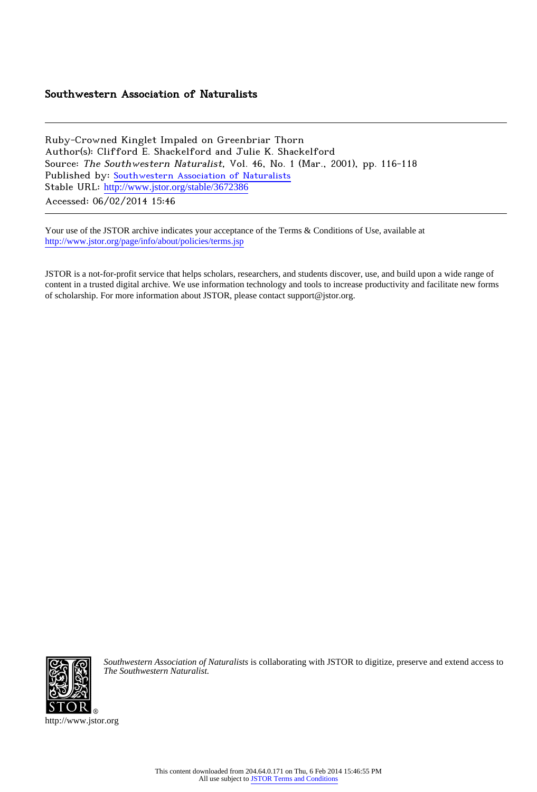## Southwestern Association of Naturalists

Ruby-Crowned Kinglet Impaled on Greenbriar Thorn Author(s): Clifford E. Shackelford and Julie K. Shackelford Source: The Southwestern Naturalist, Vol. 46, No. 1 (Mar., 2001), pp. 116-118 Published by: [Southwestern Association of Naturalists](http://www.jstor.org/action/showPublisher?publisherCode=swan) Stable URL: [http://www.jstor.org/stable/3672386](http://www.jstor.org/stable/3672386?origin=JSTOR-pdf) Accessed: 06/02/2014 15:46

Your use of the JSTOR archive indicates your acceptance of the Terms & Conditions of Use, available at <http://www.jstor.org/page/info/about/policies/terms.jsp>

JSTOR is a not-for-profit service that helps scholars, researchers, and students discover, use, and build upon a wide range of content in a trusted digital archive. We use information technology and tools to increase productivity and facilitate new forms of scholarship. For more information about JSTOR, please contact support@jstor.org.



*Southwestern Association of Naturalists* is collaborating with JSTOR to digitize, preserve and extend access to *The Southwestern Naturalist.*

http://www.jstor.org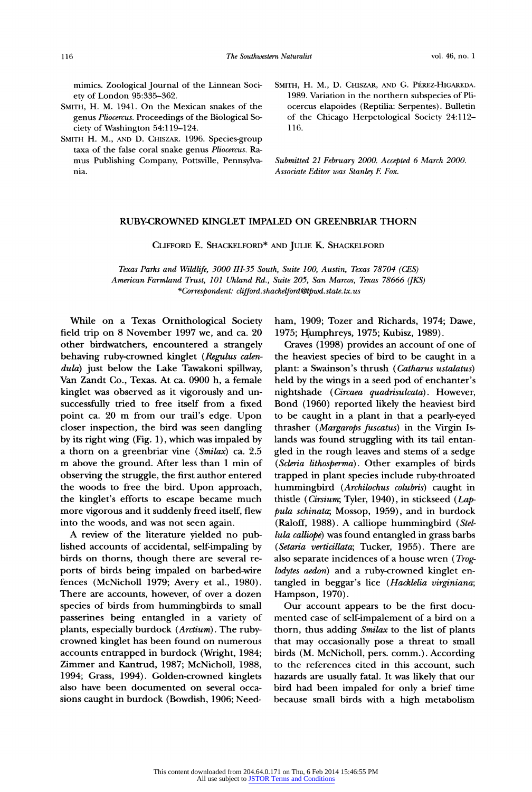mimics. Zoological Journal of the Linnean Society of London 95:335-362.

- SMITH, H. M. 1941. On the Mexican snakes of the genus Pliocercus. Proceedings of the Biological Society of Washington 54:119-124.
- SMITH H. M., AND D. CHISZAR. 1996. Species-group taxa of the false coral snake genus Pliocercus. Ramus Publishing Company, Pottsville, Pennsylvania.
- SMITH, H. M., D. CHISZAR, AND G. PÉREZ-HIGAREDA. 1989. Variation in the northern subspecies of Pliocercus elapoides (Reptilia: Serpentes). Bulletin of the Chicago Herpetological Society 24:112- 116.

Submitted 21 February 2000. Accepted 6 March 2000. Associate Editor was Stanley F. Fox.

## RUBY-CROWNED KINGLET IMPALED ON GREENBRIAR THORN

CLIFFORD E. SHACKELFORD\* AND JULIE K. SHACKELFORD

Texas Parks and Wildlife, 3000 IH-35 South, Suite 100, Austin, Texas 78704 (CES) American Farmland Trust, 101 Uhland Rd., Suite 205, San Marcos, Texas 78666 ([KS) \*Correspondent: clifford. shackelford@tpwd. state. tx. us

While on a Texas Ornithological Society field trip on 8 November 1997 we, and ca. 20 other birdwatchers, encountered a strangely behaving ruby-crowned kinglet (Regulus calendula) just below the Lake Tawakoni spillway, Van Zandt Co., Texas. At ca. 0900 h, a female kinglet was observed as it vigorously and unsuccessfully tried to free itself from a fixed point ca. 20 m from our trail's edge. Upon closer inspection, the bird was seen dangling by its right wing (Fig. 1), which was impaled by a thorn on a greenbriar vine (Smilax) ca. 2.5 m above the ground. After less than 1 min of observing the struggle, the first author entered the woods to free the bird. Upon approach, the kinglet's efforts to escape became much more vigorous and it suddenly freed itself, flew into the woods, and was not seen again.

A review of the literature yielded no published accounts of accidental, self-impaling by birds on thorns, though there are several reports of birds being impaled on barbed-wire fences (McNicholl 1979; Avery et al., 1980). There are accounts, however, of over a dozen species of birds from hummingbirds to small passerines being entangled in a variety of plants, especially burdock (Arctium). The rubycrowned kinglet has been found on numerous accounts entrapped in burdock (Wright, 1984; Zimmer and Kantrud, 1987; McNicholl, 1988, 1994; Grass, 1994). Golden-crowned kinglets also have been documented on several occasions caught in burdock (Bowdish, 1906; Needham, 1909; Tozer and Richards, 1974; Dawe, 1975; 1975; Kubisz, 1989).

Craves (1998) provides an account of one of the heaviest species of bird to be caught in a plant: a Swainson's thrush (Catharus ustalatus) held by the wings in a seed pod of enchanter's nightshade (Circaea quadrisulcata). However, Bond (1960) reported likely the heaviest bird to be caught in a plant in that a pearly-eyed thrasher (Margarops fuscatus) in the Virgin Islands was found struggling with its tail entangled in the rough leaves and stems of a sedge (Scleria lithosperma). Other examples of birds trapped in plant species include ruby-throated hummingbird (Archilochus colubris) caught in thistle (Cirsium; Tyler, 1940), in stickseed (Lappula schinata; Mossop, 1959), and in burdock (Raloff, 1988). A calliope hummingbird (Stellula calliope) was found entangled in grass barbs (Setaria verticillata; Tucker, 1955). There are also separate incidences of a house wren (Troglodytes aedon) and a ruby-crowned kinglet entangled in beggar's lice (Hacklelia virginiana; Hampson, 1970).

Our account appears to be the first documented case of self-impalement of a bird on a thorn, thus adding Smilax to the list of plants that may occasionally pose a threat to small birds (M. McNicholl, pers. comm.). According to the references cited in this account, such hazards are usually fatal. It was likely that our bird had been impaled for only a brief time because small birds with a high metabolism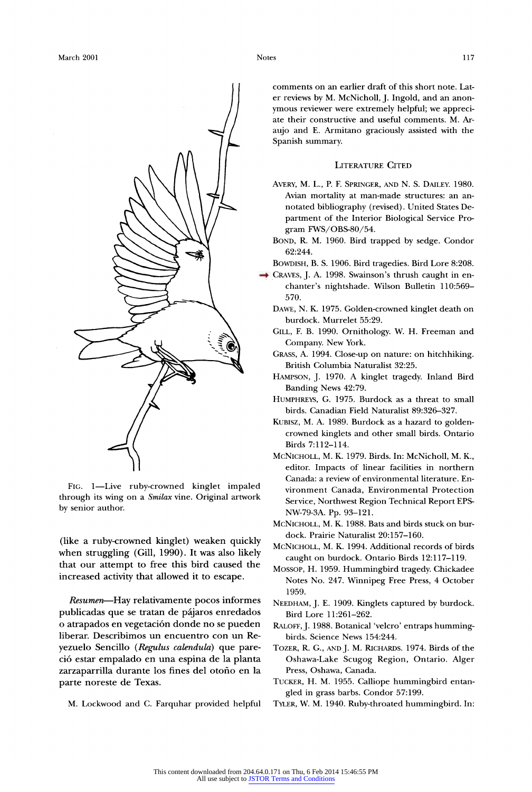

FIG. 1-Live ruby-crowned kinglet impaled through its wing on a Smilax vine. Original artwork by senior author.

(like a ruby-crowned kinglet) weaken quickly when struggling (Gill, 1990). It was also likely that our attempt to free this bird caused the increased activity that allowed it to escape.

Resumen--Hay relativamente pocos informes publicadas que se tratan de pa'jaros enredados o atrapados en vegetaci6n donde no se pueden liberar. Describimos un encuentro con un Reyezuelo Sencillo (Regulus calendula) que pareci6 estar empalado en una espina de la planta zarzaparrilla durante los fines del otoño en la parte noreste de Texas.

M. Lockwood and C. Farquhar provided helpful

comments on an earlier draft of this short note. Later reviews by M. McNicholl, J. Ingold, and an anonymous reviewer were extremely helpful; we appreciate their constructive and useful comments. M. Araujo and E. Armitano graciously assisted with the Spanish summary.

## LITERATURE CITED

- AVERY, M. L., P. F. SPRINGER, AND N. S. DAILEY. 1980. Avian mortality at man-made structures: an annotated bibliography (revised). United States Department of the Interior Biological Service Program FWS/OBS-80/54.
- BOND, R. M. 1960. Bird trapped by sedge. Condor 62:244.
- BOWDISH, B. S. 1906. Bird tragedies. Bird Lore 8:208.
- CRAVES, J. A. 1998. Swainson's thrush caught in enchanter's nightshade. Wilson Bulletin 110:569- 570.
- DAWE, N. K. 1975. Golden-crowned kinglet death on burdock. Murrelet 55:29.
- GILL, F. B. 1990. Ornithology. W. H. Freeman and Company. New York.
- GRASS, A. 1994. Close-up on nature: on hitchhiking. British Columbia Naturalist 32:25.
- HAMPSON, J. 1970. A kinglet tragedy. Inland Bird Banding News 42:79.
- HUMPHREYS, G. 1975. Burdock as a threat to small birds. Canadian Field Naturalist 89:326-327.
- KUBISZ, M. A. 1989. Burdock as a hazard to goldencrowned kinglets and other small birds. Ontario Birds 7:112-114.
- McNICHOLL, M. K. 1979. Birds. In: McNicholl, M. K., editor. Impacts of linear facilities in northern Canada: a review of environmental literature. Environment Canada, Environmental Protection Service, Northwest Region Technical Report EPS-NW-79-3A. Pp. 93-121.
- McNICHOLL, M. K. 1988. Bats and birds stuck on burdock. Prairie Naturalist 20:157-160.
- McNICHOLL, M. K. 1994. Additional records of birds caught on burdock. Ontario Birds 12:117-119.
- MossoP, H. 1959. Hummingbird tragedy. Chickadee Notes No. 247. Winnipeg Free Press, 4 October 1959.
- NEEDHAM, J. E. 1909. Kinglets captured by burdock. Bird Lore 11:261-262.
- RALOFF, J. 1988. Botanical 'velcro' entraps hummingbirds. Science News 154:244.
- TOZER, R. G., AND J. M. RICHARDs. 1974. Birds of the Oshawa-Lake Scugog Region, Ontario. Alger Press, Oshawa, Canada.
- TUCKER, H. M. 1955. Calliope hummingbird entangled in grass barbs. Condor 57:199.
- TYLER, W. M. 1940. Ruby-throated hummingbird. In: